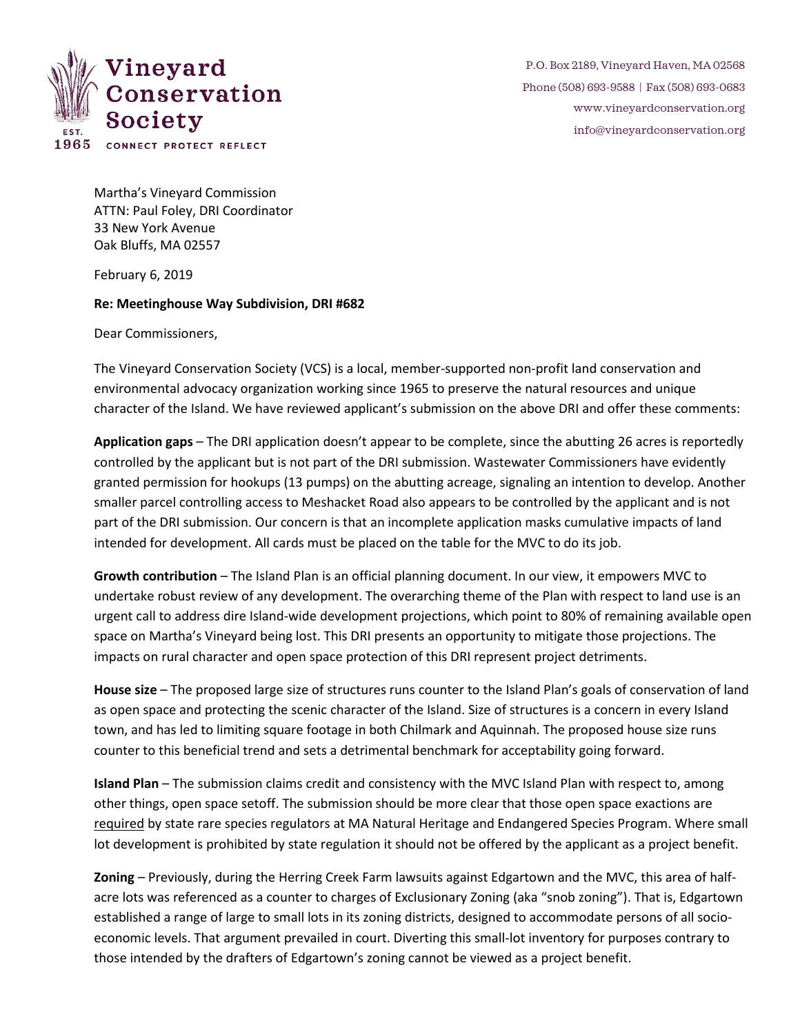

P.O. Box 2189, Vineyard Haven, MA 02568 Phone (508) 693-9588 | Fax (508) 693-0683 [www.vineyardconservation.org](http://www.vineyardconservation.org/) [info@vineyardconservation.org](mailto:info@vineyardconservation.org)

Martha's Vineyard Commission ATTN: Paul Foley, DRI Coordinator 33 New York Avenue Oak Bluffs, MA 02557

February 6, 2019

## **Re: Meetinghouse Way Subdivision, DRI #682**

Dear Commissioners,

The Vineyard Conservation Society (VCS) is a local, member-supported non-profit land conservation and environmental advocacy organization working since 1965 to preserve the natural resources and unique character of the Island. We have reviewed applicant's submission on the above DRI and offer these comments:

**Application gaps** – The DRI application doesn't appear to be complete, since the abutting 26 acres is reportedly controlled by the applicant but is not part of the DRI submission. Wastewater Commissioners have evidently granted permission for hookups (13 pumps) on the abutting acreage, signaling an intention to develop. Another smaller parcel controlling access to Meshacket Road also appears to be controlled by the applicant and is not part of the DRI submission. Our concern is that an incomplete application masks cumulative impacts of land intended for development. All cards must be placed on the table for the MVC to do its job.

**Growth contribution** – The Island Plan is an official planning document. In our view, it empowers MVC to undertake robust review of any development. The overarching theme of the Plan with respect to land use is an urgent call to address dire Island-wide development projections, which point to 80% of remaining available open space on Martha's Vineyard being lost. This DRI presents an opportunity to mitigate those projections. The impacts on rural character and open space protection of this DRI represent project detriments.

**House size** – The proposed large size of structures runs counter to the Island Plan's goals of conservation of land as open space and protecting the scenic character of the Island. Size of structures is a concern in every Island town, and has led to limiting square footage in both Chilmark and Aquinnah. The proposed house size runs counter to this beneficial trend and sets a detrimental benchmark for acceptability going forward.

**Island Plan** – The submission claims credit and consistency with the MVC Island Plan with respect to, among other things, open space setoff. The submission should be more clear that those open space exactions are required by state rare species regulators at MA Natural Heritage and Endangered Species Program. Where small lot development is prohibited by state regulation it should not be offered by the applicant as a project benefit.

**Zoning** – Previously, during the Herring Creek Farm lawsuits against Edgartown and the MVC, this area of halfacre lots was referenced as a counter to charges of Exclusionary Zoning (aka "snob zoning"). That is, Edgartown established a range of large to small lots in its zoning districts, designed to accommodate persons of all socioeconomic levels. That argument prevailed in court. Diverting this small-lot inventory for purposes contrary to those intended by the drafters of Edgartown's zoning cannot be viewed as a project benefit.